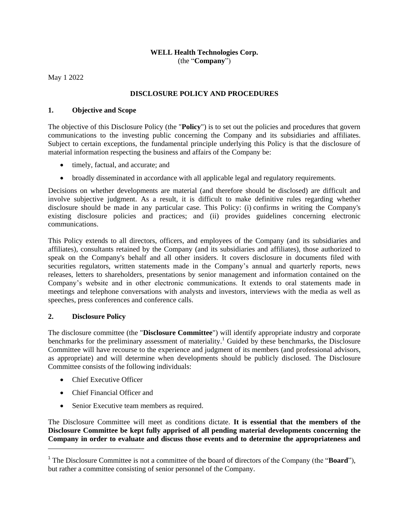#### **WELL Health Technologies Corp.** (the "**Company**")

May 1 2022

# **DISCLOSURE POLICY AND PROCEDURES**

## **1. Objective and Scope**

The objective of this Disclosure Policy (the "**Policy**") is to set out the policies and procedures that govern communications to the investing public concerning the Company and its subsidiaries and affiliates. Subject to certain exceptions, the fundamental principle underlying this Policy is that the disclosure of material information respecting the business and affairs of the Company be:

- timely, factual, and accurate; and
- broadly disseminated in accordance with all applicable legal and regulatory requirements.

Decisions on whether developments are material (and therefore should be disclosed) are difficult and involve subjective judgment. As a result, it is difficult to make definitive rules regarding whether disclosure should be made in any particular case. This Policy: (i) confirms in writing the Company's existing disclosure policies and practices; and (ii) provides guidelines concerning electronic communications.

This Policy extends to all directors, officers, and employees of the Company (and its subsidiaries and affiliates), consultants retained by the Company (and its subsidiaries and affiliates), those authorized to speak on the Company's behalf and all other insiders. It covers disclosure in documents filed with securities regulators, written statements made in the Company's annual and quarterly reports, news releases, letters to shareholders, presentations by senior management and information contained on the Company's website and in other electronic communications. It extends to oral statements made in meetings and telephone conversations with analysts and investors, interviews with the media as well as speeches, press conferences and conference calls.

### **2. Disclosure Policy**

The disclosure committee (the "**Disclosure Committee**") will identify appropriate industry and corporate benchmarks for the preliminary assessment of materiality.<sup>1</sup> Guided by these benchmarks, the Disclosure Committee will have recourse to the experience and judgment of its members (and professional advisors, as appropriate) and will determine when developments should be publicly disclosed. The Disclosure Committee consists of the following individuals:

- Chief Executive Officer
- Chief Financial Officer and
- Senior Executive team members as required.

The Disclosure Committee will meet as conditions dictate. **It is essential that the members of the Disclosure Committee be kept fully apprised of all pending material developments concerning the Company in order to evaluate and discuss those events and to determine the appropriateness and** 

<sup>1</sup> The Disclosure Committee is not a committee of the board of directors of the Company (the "**Board**"), but rather a committee consisting of senior personnel of the Company.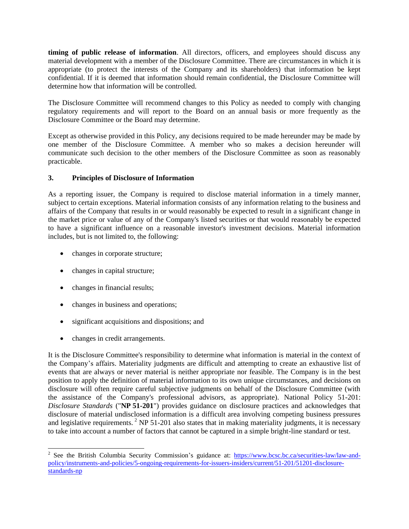**timing of public release of information**. All directors, officers, and employees should discuss any material development with a member of the Disclosure Committee. There are circumstances in which it is appropriate (to protect the interests of the Company and its shareholders) that information be kept confidential. If it is deemed that information should remain confidential, the Disclosure Committee will determine how that information will be controlled.

The Disclosure Committee will recommend changes to this Policy as needed to comply with changing regulatory requirements and will report to the Board on an annual basis or more frequently as the Disclosure Committee or the Board may determine.

Except as otherwise provided in this Policy, any decisions required to be made hereunder may be made by one member of the Disclosure Committee. A member who so makes a decision hereunder will communicate such decision to the other members of the Disclosure Committee as soon as reasonably practicable.

## **3. Principles of Disclosure of Information**

As a reporting issuer, the Company is required to disclose material information in a timely manner, subject to certain exceptions. Material information consists of any information relating to the business and affairs of the Company that results in or would reasonably be expected to result in a significant change in the market price or value of any of the Company's listed securities or that would reasonably be expected to have a significant influence on a reasonable investor's investment decisions. Material information includes, but is not limited to, the following:

- changes in corporate structure;
- changes in capital structure;
- changes in financial results;
- changes in business and operations;
- significant acquisitions and dispositions; and
- changes in credit arrangements.

It is the Disclosure Committee's responsibility to determine what information is material in the context of the Company's affairs. Materiality judgments are difficult and attempting to create an exhaustive list of events that are always or never material is neither appropriate nor feasible. The Company is in the best position to apply the definition of material information to its own unique circumstances, and decisions on disclosure will often require careful subjective judgments on behalf of the Disclosure Committee (with the assistance of the Company's professional advisors, as appropriate). National Policy 51-201: *Disclosure Standards* ("**NP 51-201**") provides guidance on disclosure practices and acknowledges that disclosure of material undisclosed information is a difficult area involving competing business pressures and legislative requirements. <sup>2</sup> NP 51-201 also states that in making materiality judgments, it is necessary to take into account a number of factors that cannot be captured in a simple bright-line standard or test.

<sup>&</sup>lt;sup>2</sup> See the British Columbia Security Commission's guidance at: [https://www.bcsc.bc.ca/securities-law/law-and](https://www.bcsc.bc.ca/securities-law/law-and-policy/instruments-and-policies/5-ongoing-requirements-for-issuers-insiders/current/51-201/51201-disclosure-standards-np)[policy/instruments-and-policies/5-ongoing-requirements-for-issuers-insiders/current/51-201/51201-disclosure](https://www.bcsc.bc.ca/securities-law/law-and-policy/instruments-and-policies/5-ongoing-requirements-for-issuers-insiders/current/51-201/51201-disclosure-standards-np)[standards-np](https://www.bcsc.bc.ca/securities-law/law-and-policy/instruments-and-policies/5-ongoing-requirements-for-issuers-insiders/current/51-201/51201-disclosure-standards-np)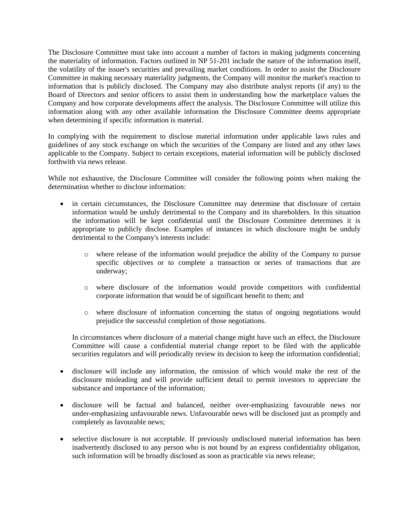The Disclosure Committee must take into account a number of factors in making judgments concerning the materiality of information. Factors outlined in NP 51-201 include the nature of the information itself, the volatility of the issuer's securities and prevailing market conditions. In order to assist the Disclosure Committee in making necessary materiality judgments, the Company will monitor the market's reaction to information that is publicly disclosed. The Company may also distribute analyst reports (if any) to the Board of Directors and senior officers to assist them in understanding how the marketplace values the Company and how corporate developments affect the analysis. The Disclosure Committee will utilize this information along with any other available information the Disclosure Committee deems appropriate when determining if specific information is material.

In complying with the requirement to disclose material information under applicable laws rules and guidelines of any stock exchange on which the securities of the Company are listed and any other laws applicable to the Company. Subject to certain exceptions, material information will be publicly disclosed forthwith via news release.

While not exhaustive, the Disclosure Committee will consider the following points when making the determination whether to disclose information:

- in certain circumstances, the Disclosure Committee may determine that disclosure of certain information would be unduly detrimental to the Company and its shareholders. In this situation the information will be kept confidential until the Disclosure Committee determines it is appropriate to publicly disclose. Examples of instances in which disclosure might be unduly detrimental to the Company's interests include:
	- o where release of the information would prejudice the ability of the Company to pursue specific objectives or to complete a transaction or series of transactions that are underway;
	- o where disclosure of the information would provide competitors with confidential corporate information that would be of significant benefit to them; and
	- o where disclosure of information concerning the status of ongoing negotiations would prejudice the successful completion of those negotiations.

In circumstances where disclosure of a material change might have such an effect, the Disclosure Committee will cause a confidential material change report to be filed with the applicable securities regulators and will periodically review its decision to keep the information confidential;

- disclosure will include any information, the omission of which would make the rest of the disclosure misleading and will provide sufficient detail to permit investors to appreciate the substance and importance of the information;
- disclosure will be factual and balanced, neither over-emphasizing favourable news nor under-emphasizing unfavourable news. Unfavourable news will be disclosed just as promptly and completely as favourable news;
- selective disclosure is not acceptable. If previously undisclosed material information has been inadvertently disclosed to any person who is not bound by an express confidentiality obligation, such information will be broadly disclosed as soon as practicable via news release;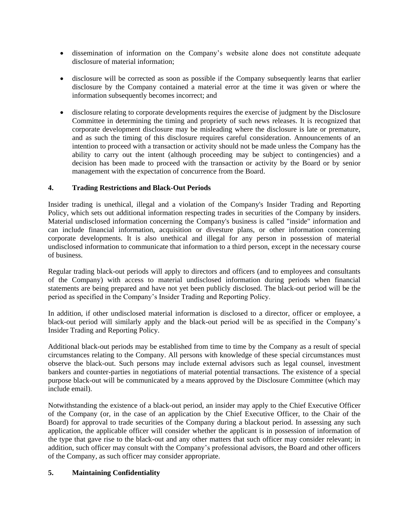- dissemination of information on the Company's website alone does not constitute adequate disclosure of material information;
- disclosure will be corrected as soon as possible if the Company subsequently learns that earlier disclosure by the Company contained a material error at the time it was given or where the information subsequently becomes incorrect; and
- disclosure relating to corporate developments requires the exercise of judgment by the Disclosure Committee in determining the timing and propriety of such news releases. It is recognized that corporate development disclosure may be misleading where the disclosure is late or premature, and as such the timing of this disclosure requires careful consideration. Announcements of an intention to proceed with a transaction or activity should not be made unless the Company has the ability to carry out the intent (although proceeding may be subject to contingencies) and a decision has been made to proceed with the transaction or activity by the Board or by senior management with the expectation of concurrence from the Board.

# **4. Trading Restrictions and Black-Out Periods**

Insider trading is unethical, illegal and a violation of the Company's Insider Trading and Reporting Policy, which sets out additional information respecting trades in securities of the Company by insiders. Material undisclosed information concerning the Company's business is called "inside" information and can include financial information, acquisition or divesture plans, or other information concerning corporate developments. It is also unethical and illegal for any person in possession of material undisclosed information to communicate that information to a third person, except in the necessary course of business.

Regular trading black-out periods will apply to directors and officers (and to employees and consultants of the Company) with access to material undisclosed information during periods when financial statements are being prepared and have not yet been publicly disclosed. The black-out period will be the period as specified in the Company's Insider Trading and Reporting Policy.

In addition, if other undisclosed material information is disclosed to a director, officer or employee, a black-out period will similarly apply and the black-out period will be as specified in the Company's Insider Trading and Reporting Policy.

Additional black-out periods may be established from time to time by the Company as a result of special circumstances relating to the Company. All persons with knowledge of these special circumstances must observe the black-out. Such persons may include external advisors such as legal counsel, investment bankers and counter-parties in negotiations of material potential transactions. The existence of a special purpose black-out will be communicated by a means approved by the Disclosure Committee (which may include email).

Notwithstanding the existence of a black-out period, an insider may apply to the Chief Executive Officer of the Company (or, in the case of an application by the Chief Executive Officer, to the Chair of the Board) for approval to trade securities of the Company during a blackout period. In assessing any such application, the applicable officer will consider whether the applicant is in possession of information of the type that gave rise to the black-out and any other matters that such officer may consider relevant; in addition, such officer may consult with the Company's professional advisors, the Board and other officers of the Company, as such officer may consider appropriate.

# **5. Maintaining Confidentiality**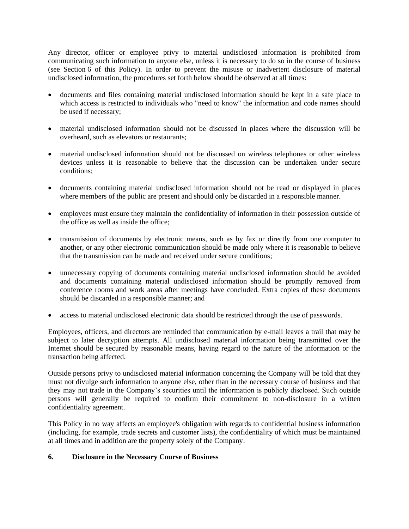Any director, officer or employee privy to material undisclosed information is prohibited from communicating such information to anyone else, unless it is necessary to do so in the course of business (see Section 6 of this Policy). In order to prevent the misuse or inadvertent disclosure of material undisclosed information, the procedures set forth below should be observed at all times:

- documents and files containing material undisclosed information should be kept in a safe place to which access is restricted to individuals who "need to know" the information and code names should be used if necessary;
- material undisclosed information should not be discussed in places where the discussion will be overheard, such as elevators or restaurants;
- material undisclosed information should not be discussed on wireless telephones or other wireless devices unless it is reasonable to believe that the discussion can be undertaken under secure conditions;
- documents containing material undisclosed information should not be read or displayed in places where members of the public are present and should only be discarded in a responsible manner.
- employees must ensure they maintain the confidentiality of information in their possession outside of the office as well as inside the office;
- transmission of documents by electronic means, such as by fax or directly from one computer to another, or any other electronic communication should be made only where it is reasonable to believe that the transmission can be made and received under secure conditions;
- unnecessary copying of documents containing material undisclosed information should be avoided and documents containing material undisclosed information should be promptly removed from conference rooms and work areas after meetings have concluded. Extra copies of these documents should be discarded in a responsible manner; and
- access to material undisclosed electronic data should be restricted through the use of passwords.

Employees, officers, and directors are reminded that communication by e-mail leaves a trail that may be subject to later decryption attempts. All undisclosed material information being transmitted over the Internet should be secured by reasonable means, having regard to the nature of the information or the transaction being affected.

Outside persons privy to undisclosed material information concerning the Company will be told that they must not divulge such information to anyone else, other than in the necessary course of business and that they may not trade in the Company's securities until the information is publicly disclosed. Such outside persons will generally be required to confirm their commitment to non-disclosure in a written confidentiality agreement.

This Policy in no way affects an employee's obligation with regards to confidential business information (including, for example, trade secrets and customer lists), the confidentiality of which must be maintained at all times and in addition are the property solely of the Company.

### **6. Disclosure in the Necessary Course of Business**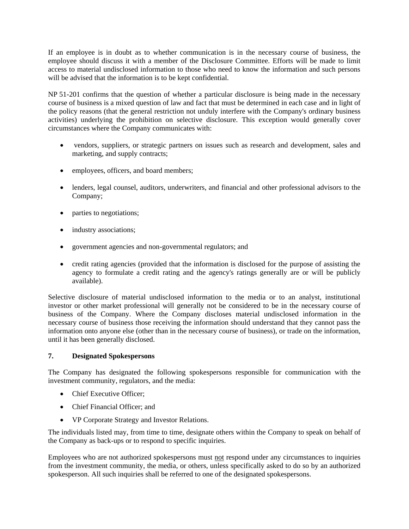If an employee is in doubt as to whether communication is in the necessary course of business, the employee should discuss it with a member of the Disclosure Committee. Efforts will be made to limit access to material undisclosed information to those who need to know the information and such persons will be advised that the information is to be kept confidential.

NP 51-201 confirms that the question of whether a particular disclosure is being made in the necessary course of business is a mixed question of law and fact that must be determined in each case and in light of the policy reasons (that the general restriction not unduly interfere with the Company's ordinary business activities) underlying the prohibition on selective disclosure. This exception would generally cover circumstances where the Company communicates with:

- vendors, suppliers, or strategic partners on issues such as research and development, sales and marketing, and supply contracts;
- employees, officers, and board members;
- lenders, legal counsel, auditors, underwriters, and financial and other professional advisors to the Company;
- parties to negotiations;
- industry associations;
- government agencies and non-governmental regulators; and
- credit rating agencies (provided that the information is disclosed for the purpose of assisting the agency to formulate a credit rating and the agency's ratings generally are or will be publicly available).

Selective disclosure of material undisclosed information to the media or to an analyst, institutional investor or other market professional will generally not be considered to be in the necessary course of business of the Company. Where the Company discloses material undisclosed information in the necessary course of business those receiving the information should understand that they cannot pass the information onto anyone else (other than in the necessary course of business), or trade on the information, until it has been generally disclosed.

### **7. Designated Spokespersons**

The Company has designated the following spokespersons responsible for communication with the investment community, regulators, and the media:

- Chief Executive Officer:
- Chief Financial Officer; and
- VP Corporate Strategy and Investor Relations.

The individuals listed may, from time to time, designate others within the Company to speak on behalf of the Company as back-ups or to respond to specific inquiries.

Employees who are not authorized spokespersons must not respond under any circumstances to inquiries from the investment community, the media, or others, unless specifically asked to do so by an authorized spokesperson. All such inquiries shall be referred to one of the designated spokespersons.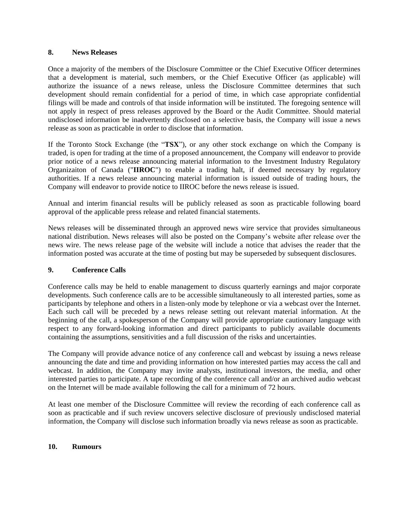#### **8. News Releases**

Once a majority of the members of the Disclosure Committee or the Chief Executive Officer determines that a development is material, such members, or the Chief Executive Officer (as applicable) will authorize the issuance of a news release, unless the Disclosure Committee determines that such development should remain confidential for a period of time, in which case appropriate confidential filings will be made and controls of that inside information will be instituted. The foregoing sentence will not apply in respect of press releases approved by the Board or the Audit Committee. Should material undisclosed information be inadvertently disclosed on a selective basis, the Company will issue a news release as soon as practicable in order to disclose that information.

If the Toronto Stock Exchange (the "**TSX**"), or any other stock exchange on which the Company is traded, is open for trading at the time of a proposed announcement, the Company will endeavor to provide prior notice of a news release announcing material information to the Investment Industry Regulatory Organizaiton of Canada ("**IIROC**") to enable a trading halt, if deemed necessary by regulatory authorities. If a news release announcing material information is issued outside of trading hours, the Company will endeavor to provide notice to IIROC before the news release is issued.

Annual and interim financial results will be publicly released as soon as practicable following board approval of the applicable press release and related financial statements.

News releases will be disseminated through an approved news wire service that provides simultaneous national distribution. News releases will also be posted on the Company's website after release over the news wire. The news release page of the website will include a notice that advises the reader that the information posted was accurate at the time of posting but may be superseded by subsequent disclosures.

### **9. Conference Calls**

Conference calls may be held to enable management to discuss quarterly earnings and major corporate developments. Such conference calls are to be accessible simultaneously to all interested parties, some as participants by telephone and others in a listen-only mode by telephone or via a webcast over the Internet. Each such call will be preceded by a news release setting out relevant material information. At the beginning of the call, a spokesperson of the Company will provide appropriate cautionary language with respect to any forward-looking information and direct participants to publicly available documents containing the assumptions, sensitivities and a full discussion of the risks and uncertainties.

The Company will provide advance notice of any conference call and webcast by issuing a news release announcing the date and time and providing information on how interested parties may access the call and webcast. In addition, the Company may invite analysts, institutional investors, the media, and other interested parties to participate. A tape recording of the conference call and/or an archived audio webcast on the Internet will be made available following the call for a minimum of 72 hours.

At least one member of the Disclosure Committee will review the recording of each conference call as soon as practicable and if such review uncovers selective disclosure of previously undisclosed material information, the Company will disclose such information broadly via news release as soon as practicable.

### **10. Rumours**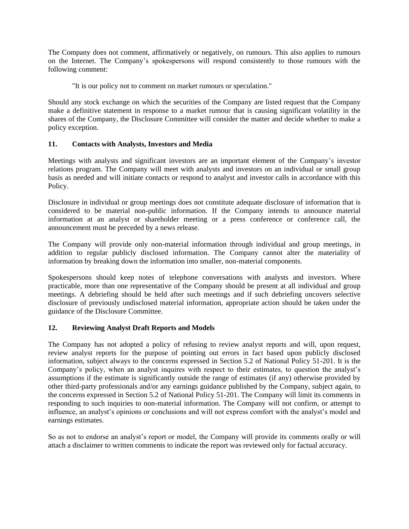The Company does not comment, affirmatively or negatively, on rumours. This also applies to rumours on the Internet. The Company's spokespersons will respond consistently to those rumours with the following comment:

"It is our policy not to comment on market rumours or speculation."

Should any stock exchange on which the securities of the Company are listed request that the Company make a definitive statement in response to a market rumour that is causing significant volatility in the shares of the Company, the Disclosure Committee will consider the matter and decide whether to make a policy exception.

## **11. Contacts with Analysts, Investors and Media**

Meetings with analysts and significant investors are an important element of the Company's investor relations program. The Company will meet with analysts and investors on an individual or small group basis as needed and will initiate contacts or respond to analyst and investor calls in accordance with this Policy.

Disclosure in individual or group meetings does not constitute adequate disclosure of information that is considered to be material non-public information. If the Company intends to announce material information at an analyst or shareholder meeting or a press conference or conference call, the announcement must be preceded by a news release.

The Company will provide only non-material information through individual and group meetings, in addition to regular publicly disclosed information. The Company cannot alter the materiality of information by breaking down the information into smaller, non-material components.

Spokespersons should keep notes of telephone conversations with analysts and investors. Where practicable, more than one representative of the Company should be present at all individual and group meetings. A debriefing should be held after such meetings and if such debriefing uncovers selective disclosure of previously undisclosed material information, appropriate action should be taken under the guidance of the Disclosure Committee.

# **12. Reviewing Analyst Draft Reports and Models**

The Company has not adopted a policy of refusing to review analyst reports and will, upon request, review analyst reports for the purpose of pointing out errors in fact based upon publicly disclosed information, subject always to the concerns expressed in Section 5.2 of National Policy 51-201. It is the Company's policy, when an analyst inquires with respect to their estimates, to question the analyst's assumptions if the estimate is significantly outside the range of estimates (if any) otherwise provided by other third-party professionals and/or any earnings guidance published by the Company, subject again, to the concerns expressed in Section 5.2 of National Policy 51-201. The Company will limit its comments in responding to such inquiries to non-material information. The Company will not confirm, or attempt to influence, an analyst's opinions or conclusions and will not express comfort with the analyst's model and earnings estimates.

So as not to endorse an analyst's report or model, the Company will provide its comments orally or will attach a disclaimer to written comments to indicate the report was reviewed only for factual accuracy.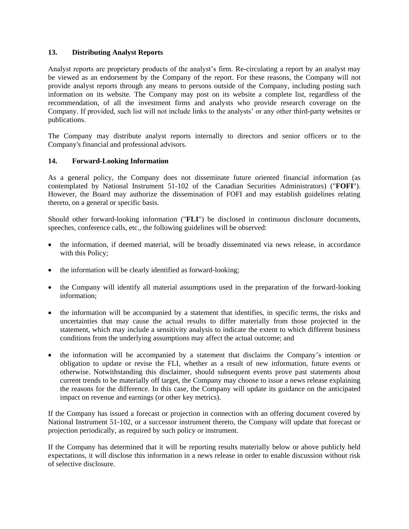### **13. Distributing Analyst Reports**

Analyst reports are proprietary products of the analyst's firm. Re-circulating a report by an analyst may be viewed as an endorsement by the Company of the report. For these reasons, the Company will not provide analyst reports through any means to persons outside of the Company, including posting such information on its website. The Company may post on its website a complete list, regardless of the recommendation, of all the investment firms and analysts who provide research coverage on the Company. If provided, such list will not include links to the analysts' or any other third-party websites or publications.

The Company may distribute analyst reports internally to directors and senior officers or to the Company's financial and professional advisors.

### **14. Forward-Looking Information**

As a general policy, the Company does not disseminate future oriented financial information (as contemplated by National Instrument 51-102 of the Canadian Securities Administrators) ("**FOFI**"). However, the Board may authorize the dissemination of FOFI and may establish guidelines relating thereto, on a general or specific basis.

Should other forward-looking information ("**FLI**") be disclosed in continuous disclosure documents, speeches, conference calls, etc., the following guidelines will be observed:

- the information, if deemed material, will be broadly disseminated via news release, in accordance with this Policy;
- the information will be clearly identified as forward-looking;
- the Company will identify all material assumptions used in the preparation of the forward-looking information;
- the information will be accompanied by a statement that identifies, in specific terms, the risks and uncertainties that may cause the actual results to differ materially from those projected in the statement, which may include a sensitivity analysis to indicate the extent to which different business conditions from the underlying assumptions may affect the actual outcome; and
- the information will be accompanied by a statement that disclaims the Company's intention or obligation to update or revise the FLI, whether as a result of new information, future events or otherwise. Notwithstanding this disclaimer, should subsequent events prove past statements about current trends to be materially off target, the Company may choose to issue a news release explaining the reasons for the difference. In this case, the Company will update its guidance on the anticipated impact on revenue and earnings (or other key metrics).

If the Company has issued a forecast or projection in connection with an offering document covered by National Instrument 51-102, or a successor instrument thereto, the Company will update that forecast or projection periodically, as required by such policy or instrument.

If the Company has determined that it will be reporting results materially below or above publicly held expectations, it will disclose this information in a news release in order to enable discussion without risk of selective disclosure.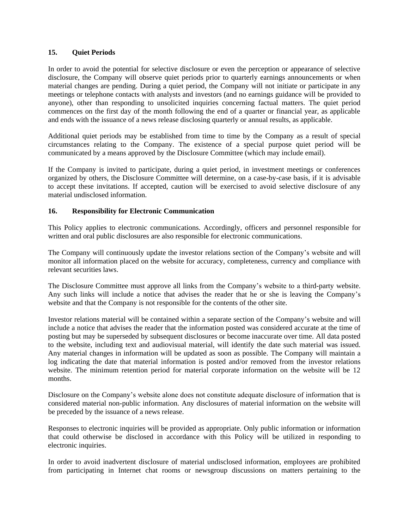### **15. Quiet Periods**

In order to avoid the potential for selective disclosure or even the perception or appearance of selective disclosure, the Company will observe quiet periods prior to quarterly earnings announcements or when material changes are pending. During a quiet period, the Company will not initiate or participate in any meetings or telephone contacts with analysts and investors (and no earnings guidance will be provided to anyone), other than responding to unsolicited inquiries concerning factual matters. The quiet period commences on the first day of the month following the end of a quarter or financial year, as applicable and ends with the issuance of a news release disclosing quarterly or annual results, as applicable.

Additional quiet periods may be established from time to time by the Company as a result of special circumstances relating to the Company. The existence of a special purpose quiet period will be communicated by a means approved by the Disclosure Committee (which may include email).

If the Company is invited to participate, during a quiet period, in investment meetings or conferences organized by others, the Disclosure Committee will determine, on a case-by-case basis, if it is advisable to accept these invitations. If accepted, caution will be exercised to avoid selective disclosure of any material undisclosed information.

#### **16. Responsibility for Electronic Communication**

This Policy applies to electronic communications. Accordingly, officers and personnel responsible for written and oral public disclosures are also responsible for electronic communications.

The Company will continuously update the investor relations section of the Company's website and will monitor all information placed on the website for accuracy, completeness, currency and compliance with relevant securities laws.

The Disclosure Committee must approve all links from the Company's website to a third-party website. Any such links will include a notice that advises the reader that he or she is leaving the Company's website and that the Company is not responsible for the contents of the other site.

Investor relations material will be contained within a separate section of the Company's website and will include a notice that advises the reader that the information posted was considered accurate at the time of posting but may be superseded by subsequent disclosures or become inaccurate over time. All data posted to the website, including text and audiovisual material, will identify the date such material was issued. Any material changes in information will be updated as soon as possible. The Company will maintain a log indicating the date that material information is posted and/or removed from the investor relations website. The minimum retention period for material corporate information on the website will be 12 months.

Disclosure on the Company's website alone does not constitute adequate disclosure of information that is considered material non-public information. Any disclosures of material information on the website will be preceded by the issuance of a news release.

Responses to electronic inquiries will be provided as appropriate. Only public information or information that could otherwise be disclosed in accordance with this Policy will be utilized in responding to electronic inquiries.

In order to avoid inadvertent disclosure of material undisclosed information, employees are prohibited from participating in Internet chat rooms or newsgroup discussions on matters pertaining to the